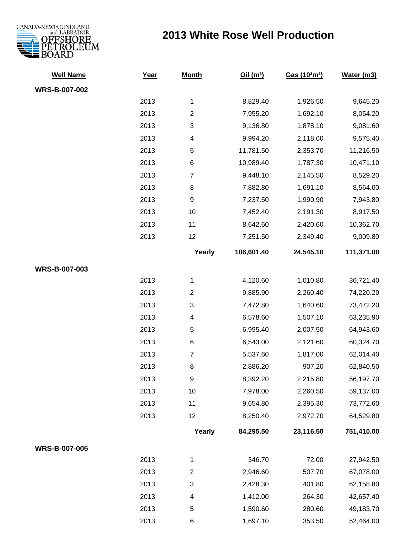

## **2013 White Rose Well Production**

| <b>Well Name</b>     | Year | <b>Month</b>            | Oil(m <sup>3</sup> ) | Gas (103m3) | Water (m3) |
|----------------------|------|-------------------------|----------------------|-------------|------------|
| <b>WRS-B-007-002</b> |      |                         |                      |             |            |
|                      | 2013 | 1                       | 8,829.40             | 1,926.50    | 9,645.20   |
|                      | 2013 | $\overline{c}$          | 7,955.20             | 1,692.10    | 8,054.20   |
|                      | 2013 | 3                       | 9,136.80             | 1,878.10    | 9,081.60   |
|                      | 2013 | 4                       | 9,994.20             | 2,118.60    | 9,575.40   |
|                      | 2013 | $\mathbf 5$             | 11,781.50            | 2,353.70    | 11,216.50  |
|                      | 2013 | $\,6$                   | 10,989.40            | 1,787.30    | 10,471.10  |
|                      | 2013 | $\boldsymbol{7}$        | 9,448.10             | 2,145.50    | 8,529.20   |
|                      | 2013 | 8                       | 7,882.80             | 1,691.10    | 8,564.00   |
|                      | 2013 | 9                       | 7,237.50             | 1,990.90    | 7,943.80   |
|                      | 2013 | 10                      | 7,452.40             | 2,191.30    | 8,917.50   |
|                      | 2013 | 11                      | 8,642.60             | 2,420.60    | 10,362.70  |
|                      | 2013 | 12                      | 7,251.50             | 2,349.40    | 9,009.80   |
|                      |      | Yearly                  | 106,601.40           | 24,545.10   | 111,371.00 |
| WRS-B-007-003        |      |                         |                      |             |            |
|                      | 2013 | 1                       | 4,120.60             | 1,010.80    | 36,721.40  |
|                      | 2013 | $\overline{\mathbf{c}}$ | 9,885.90             | 2,260.40    | 74,220.20  |
|                      | 2013 | 3                       | 7,472.80             | 1,640.60    | 73,472.20  |
|                      | 2013 | 4                       | 6,578.60             | 1,507.10    | 63,235.90  |
|                      | 2013 | 5                       | 6,995.40             | 2,007.50    | 64,943.60  |
|                      | 2013 | $\,6$                   | 6,543.00             | 2,121.60    | 60,324.70  |
|                      | 2013 | $\boldsymbol{7}$        | 5,537.60             | 1,817.00    | 62,014.40  |
|                      | 2013 | 8                       | 2,886.20             | 907.20      | 62,840.50  |
|                      | 2013 | 9                       | 8,392.20             | 2,215.80    | 56,197.70  |
|                      | 2013 | 10                      | 7,978.00             | 2,260.50    | 59,137.00  |
|                      | 2013 | 11                      | 9,654.80             | 2,395.30    | 73,772.60  |
|                      | 2013 | 12                      | 8,250.40             | 2,972.70    | 64,529.80  |
|                      |      | Yearly                  | 84,295.50            | 23,116.50   | 751,410.00 |
| <b>WRS-B-007-005</b> |      |                         |                      |             |            |
|                      | 2013 | 1                       | 346.70               | 72.00       | 27,942.50  |
|                      | 2013 | $\overline{2}$          | 2,946.60             | 507.70      | 67,078.00  |
|                      | 2013 | 3                       | 2,428.30             | 401.80      | 62,158.80  |
|                      | 2013 | 4                       | 1,412.00             | 264.30      | 42,657.40  |
|                      | 2013 | 5                       | 1,590.60             | 280.60      | 49,183.70  |
|                      | 2013 | 6                       | 1,697.10             | 353.50      | 52,464.00  |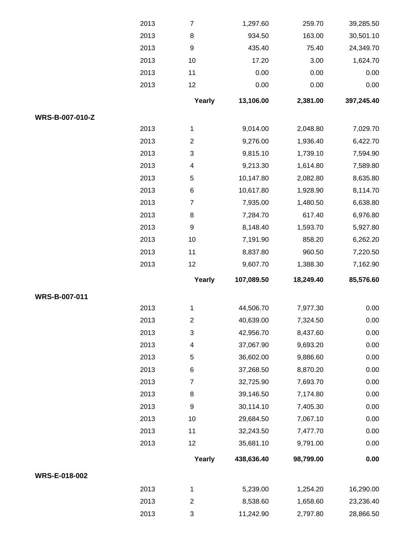|                 | 2013 | $\boldsymbol{7}$          | 1,297.60   | 259.70    | 39,285.50  |
|-----------------|------|---------------------------|------------|-----------|------------|
|                 | 2013 | 8                         | 934.50     | 163.00    | 30,501.10  |
|                 | 2013 | $\boldsymbol{9}$          | 435.40     | 75.40     | 24,349.70  |
|                 | 2013 | 10                        | 17.20      | 3.00      | 1,624.70   |
|                 | 2013 | 11                        | 0.00       | 0.00      | 0.00       |
|                 | 2013 | 12                        | 0.00       | 0.00      | 0.00       |
|                 |      | Yearly                    | 13,106.00  | 2,381.00  | 397,245.40 |
| WRS-B-007-010-Z |      |                           |            |           |            |
|                 | 2013 | 1                         | 9,014.00   | 2,048.80  | 7,029.70   |
|                 | 2013 | $\boldsymbol{2}$          | 9,276.00   | 1,936.40  | 6,422.70   |
|                 | 2013 | $\ensuremath{\mathsf{3}}$ | 9,815.10   | 1,739.10  | 7,594.90   |
|                 | 2013 | $\overline{\mathcal{A}}$  | 9,213.30   | 1,614.80  | 7,589.80   |
|                 | 2013 | $\mathbf 5$               | 10,147.80  | 2,082.80  | 8,635.80   |
|                 | 2013 | $\,6$                     | 10,617.80  | 1,928.90  | 8,114.70   |
|                 | 2013 | $\overline{7}$            | 7,935.00   | 1,480.50  | 6,638.80   |
|                 | 2013 | 8                         | 7,284.70   | 617.40    | 6,976.80   |
|                 | 2013 | $\boldsymbol{9}$          | 8,148.40   | 1,593.70  | 5,927.80   |
|                 | 2013 | 10                        | 7,191.90   | 858.20    | 6,262.20   |
|                 | 2013 | 11                        | 8,837.80   | 960.50    | 7,220.50   |
|                 | 2013 | 12                        | 9,607.70   | 1,388.30  | 7,162.90   |
|                 |      |                           |            |           |            |
|                 |      | Yearly                    | 107,089.50 | 18,249.40 | 85,576.60  |
| WRS-B-007-011   |      |                           |            |           |            |
|                 | 2013 | 1                         | 44,506.70  | 7,977.30  | 0.00       |
|                 | 2013 | $\boldsymbol{2}$          | 40,639.00  | 7,324.50  | 0.00       |
|                 | 2013 | $\ensuremath{\mathsf{3}}$ | 42,956.70  | 8,437.60  | 0.00       |
|                 | 2013 | $\overline{\mathcal{A}}$  | 37,067.90  | 9,693.20  | 0.00       |
|                 | 2013 | $\mathbf 5$               | 36,602.00  | 9,886.60  | 0.00       |
|                 | 2013 | $\,6$                     | 37,268.50  | 8,870.20  | 0.00       |
|                 | 2013 | 7                         | 32,725.90  | 7,693.70  | 0.00       |
|                 | 2013 | 8                         | 39,146.50  | 7,174.80  | 0.00       |
|                 | 2013 | $\boldsymbol{9}$          | 30,114.10  | 7,405.30  | 0.00       |
|                 | 2013 | 10                        | 29,684.50  | 7,067.10  | 0.00       |
|                 | 2013 | 11                        | 32,243.50  | 7,477.70  | 0.00       |
|                 | 2013 | 12                        | 35,681.10  | 9,791.00  | 0.00       |
|                 |      | Yearly                    | 438,636.40 | 98,799.00 | 0.00       |
| WRS-E-018-002   |      |                           |            |           |            |
|                 | 2013 | 1                         | 5,239.00   | 1,254.20  | 16,290.00  |
|                 | 2013 | $\boldsymbol{2}$          | 8,538.60   | 1,658.60  | 23,236.40  |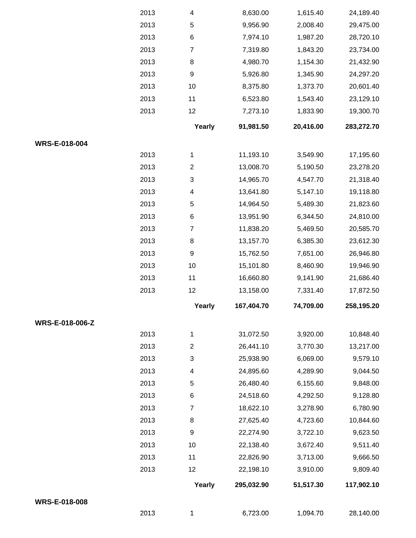|                 | 2013 | 1                         | 6,723.00   | 1,094.70  | 28,140.00  |
|-----------------|------|---------------------------|------------|-----------|------------|
| WRS-E-018-008   |      |                           |            |           |            |
|                 |      | Yearly                    | 295,032.90 | 51,517.30 | 117,902.10 |
|                 | 2013 | 12                        | 22,198.10  | 3,910.00  | 9,809.40   |
|                 | 2013 | 11                        | 22,826.90  | 3,713.00  | 9,666.50   |
|                 | 2013 | 10                        | 22,138.40  | 3,672.40  | 9,511.40   |
|                 | 2013 | $\boldsymbol{9}$          | 22,274.90  | 3,722.10  | 9,623.50   |
|                 | 2013 | 8                         | 27,625.40  | 4,723.60  | 10,844.60  |
|                 | 2013 | $\boldsymbol{7}$          | 18,622.10  | 3,278.90  | 6,780.90   |
|                 | 2013 | 6                         | 24,518.60  | 4,292.50  | 9,128.80   |
|                 | 2013 | $\,$ 5 $\,$               | 26,480.40  | 6,155.60  | 9,848.00   |
|                 | 2013 | 4                         | 24,895.60  | 4,289.90  | 9,044.50   |
|                 | 2013 | 3                         | 25,938.90  | 6,069.00  | 9,579.10   |
|                 | 2013 | $\overline{c}$            | 26,441.10  | 3,770.30  | 13,217.00  |
|                 | 2013 | 1                         | 31,072.50  | 3,920.00  | 10,848.40  |
| WRS-E-018-006-Z |      |                           |            |           |            |
|                 |      | Yearly                    | 167,404.70 | 74,709.00 | 258,195.20 |
|                 | 2013 | 12                        | 13,158.00  | 7,331.40  | 17,872.50  |
|                 | 2013 | 11                        | 16,660.80  | 9,141.90  | 21,686.40  |
|                 | 2013 | 10                        | 15,101.80  | 8,460.90  | 19,946.90  |
|                 | 2013 | $\boldsymbol{9}$          | 15,762.50  | 7,651.00  | 26,946.80  |
|                 | 2013 | $\bf 8$                   | 13,157.70  | 6,385.30  | 23,612.30  |
|                 | 2013 | $\overline{7}$            | 11,838.20  | 5,469.50  | 20,585.70  |
|                 | 2013 | $\,6$                     | 13,951.90  | 6,344.50  | 24,810.00  |
|                 | 2013 | $\mathbf 5$               | 14,964.50  | 5,489.30  | 21,823.60  |
|                 | 2013 | $\overline{\mathcal{A}}$  | 13,641.80  | 5,147.10  | 19,118.80  |
|                 | 2013 | $\ensuremath{\mathsf{3}}$ | 14,965.70  | 4,547.70  | 21,318.40  |
|                 | 2013 | $\boldsymbol{2}$          | 13,008.70  | 5,190.50  | 23,278.20  |
|                 | 2013 | 1                         | 11,193.10  | 3,549.90  | 17,195.60  |
| WRS-E-018-004   |      |                           |            |           |            |
|                 |      | Yearly                    | 91,981.50  | 20,416.00 | 283,272.70 |
|                 | 2013 | 12                        | 7,273.10   | 1,833.90  | 19,300.70  |
|                 | 2013 | 11                        | 6,523.80   | 1,543.40  | 23,129.10  |
|                 | 2013 | 10                        | 8,375.80   | 1,373.70  | 20,601.40  |
|                 | 2013 | $\boldsymbol{9}$          | 5,926.80   | 1,345.90  | 24,297.20  |
|                 | 2013 | $\bf 8$                   | 4,980.70   | 1,154.30  | 21,432.90  |
|                 | 2013 | $\overline{7}$            | 7,319.80   | 1,843.20  | 23,734.00  |
|                 | 2013 | $\,6$                     | 7,974.10   | 1,987.20  | 28,720.10  |
|                 | 2013 | $\sqrt{5}$                | 9,956.90   | 2,008.40  | 29,475.00  |
|                 | 2013 | 4                         | 8,630.00   | 1,615.40  | 24,189.40  |